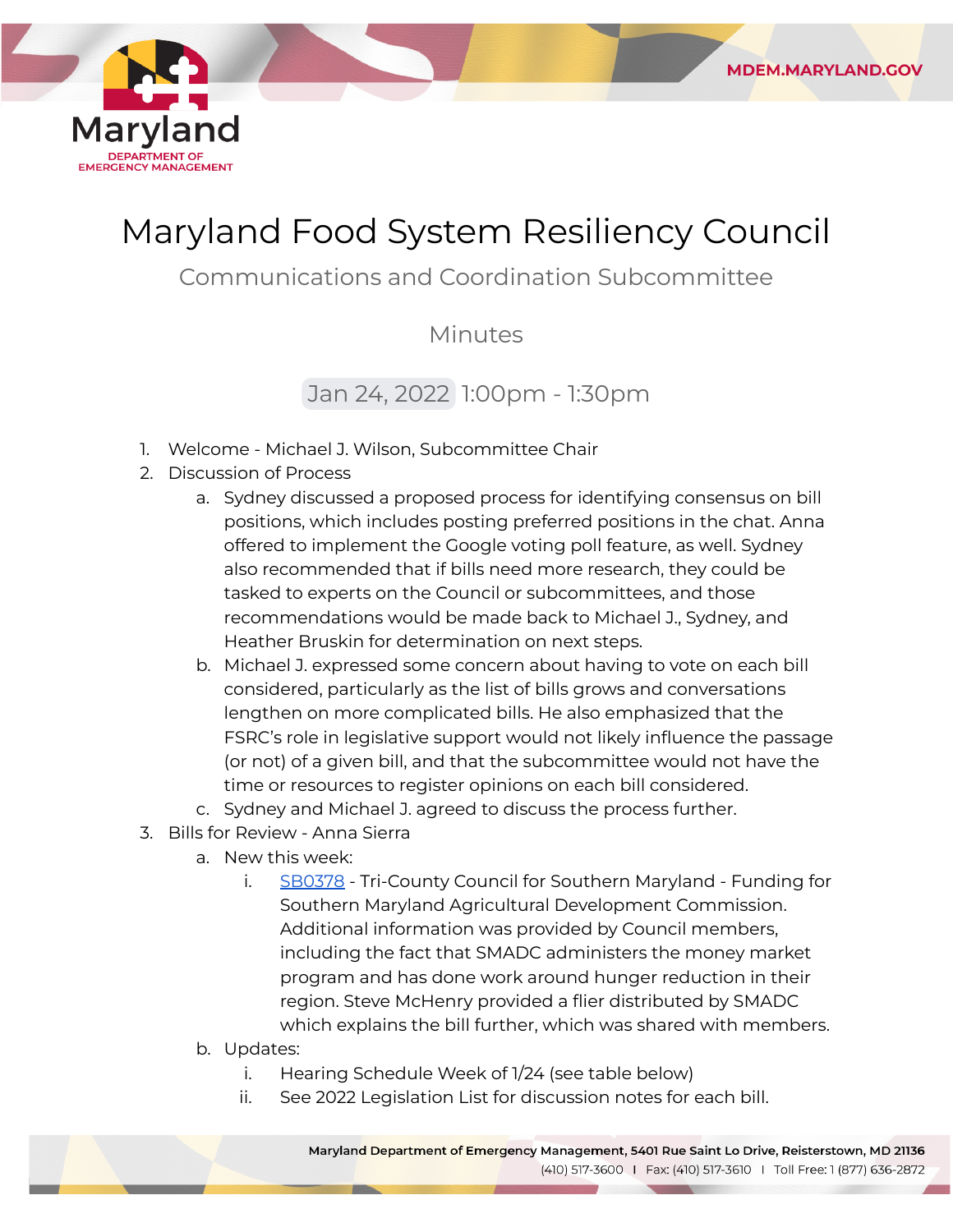

# Maryland Food System Resiliency Council

**MDEM.MARYLAND.GOV** 

Communications and Coordination Subcommittee

### Minutes

## Jan 24, 2022 1:00pm - 1:30pm

- 1. Welcome Michael J. Wilson, Subcommittee Chair
- 2. Discussion of Process
	- a. Sydney discussed a proposed process for identifying consensus on bill positions, which includes posting preferred positions in the chat. Anna offered to implement the Google voting poll feature, as well. Sydney also recommended that if bills need more research, they could be tasked to experts on the Council or subcommittees, and those recommendations would be made back to Michael J., Sydney, and Heather Bruskin for determination on next steps.
	- b. Michael J. expressed some concern about having to vote on each bill considered, particularly as the list of bills grows and conversations lengthen on more complicated bills. He also emphasized that the FSRC's role in legislative support would not likely influence the passage (or not) of a given bill, and that the subcommittee would not have the time or resources to register opinions on each bill considered.
	- c. Sydney and Michael J. agreed to discuss the process further.
- 3. Bills for Review Anna Sierra
	- a. New this week:
		- i. [SB0378](https://mgaleg.maryland.gov/mgawebsite/Legislation/Details/sb0378?ys=2022RS) Tri-County Council for Southern Maryland Funding for Southern Maryland Agricultural Development Commission. Additional information was provided by Council members, including the fact that SMADC administers the money market program and has done work around hunger reduction in their region. Steve McHenry provided a flier distributed by SMADC which explains the bill further, which was shared with members.
	- b. Updates:
		- i. Hearing Schedule Week of 1/24 (see table below)
		- ii. See 2022 Legislation List for discussion notes for each bill.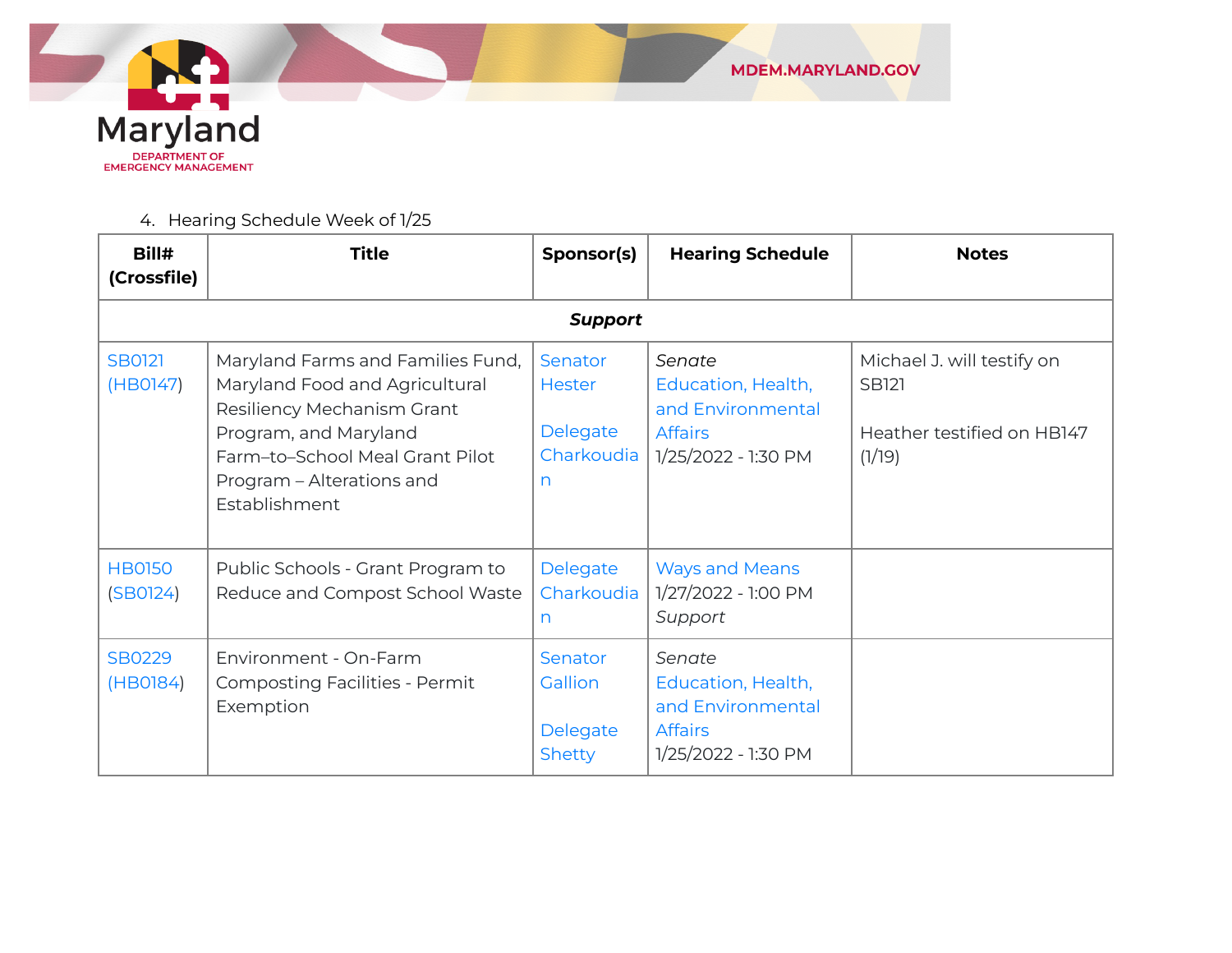

4. Hearing Schedule Week of 1/25

| Bill#<br>(Crossfile)      | <b>Title</b>                                                                                                                                                                                                | Sponsor(s)                                              | <b>Hearing Schedule</b>                                                                    | <b>Notes</b>                                                                       |
|---------------------------|-------------------------------------------------------------------------------------------------------------------------------------------------------------------------------------------------------------|---------------------------------------------------------|--------------------------------------------------------------------------------------------|------------------------------------------------------------------------------------|
|                           |                                                                                                                                                                                                             | <b>Support</b>                                          |                                                                                            |                                                                                    |
| <b>SB0121</b><br>(HB0147) | Maryland Farms and Families Fund,<br>Maryland Food and Agricultural<br>Resiliency Mechanism Grant<br>Program, and Maryland<br>Farm-to-School Meal Grant Pilot<br>Program - Alterations and<br>Establishment | Senator<br><b>Hester</b><br>Delegate<br>Charkoudia<br>n | Senate<br>Education, Health,<br>and Environmental<br><b>Affairs</b><br>1/25/2022 - 1:30 PM | Michael J. will testify on<br><b>SB121</b><br>Heather testified on HB147<br>(1/19) |
| <b>HB0150</b><br>(SBO124) | Public Schools - Grant Program to<br>Reduce and Compost School Waste                                                                                                                                        | Delegate<br>Charkoudia<br>n                             | <b>Ways and Means</b><br>1/27/2022 - 1:00 PM<br>Support                                    |                                                                                    |
| <b>SB0229</b><br>(HB0184) | Environment - On-Farm<br><b>Composting Facilities - Permit</b><br>Exemption                                                                                                                                 | Senator<br>Gallion<br>Delegate<br><b>Shetty</b>         | Senate<br>Education, Health,<br>and Environmental<br><b>Affairs</b><br>1/25/2022 - 1:30 PM |                                                                                    |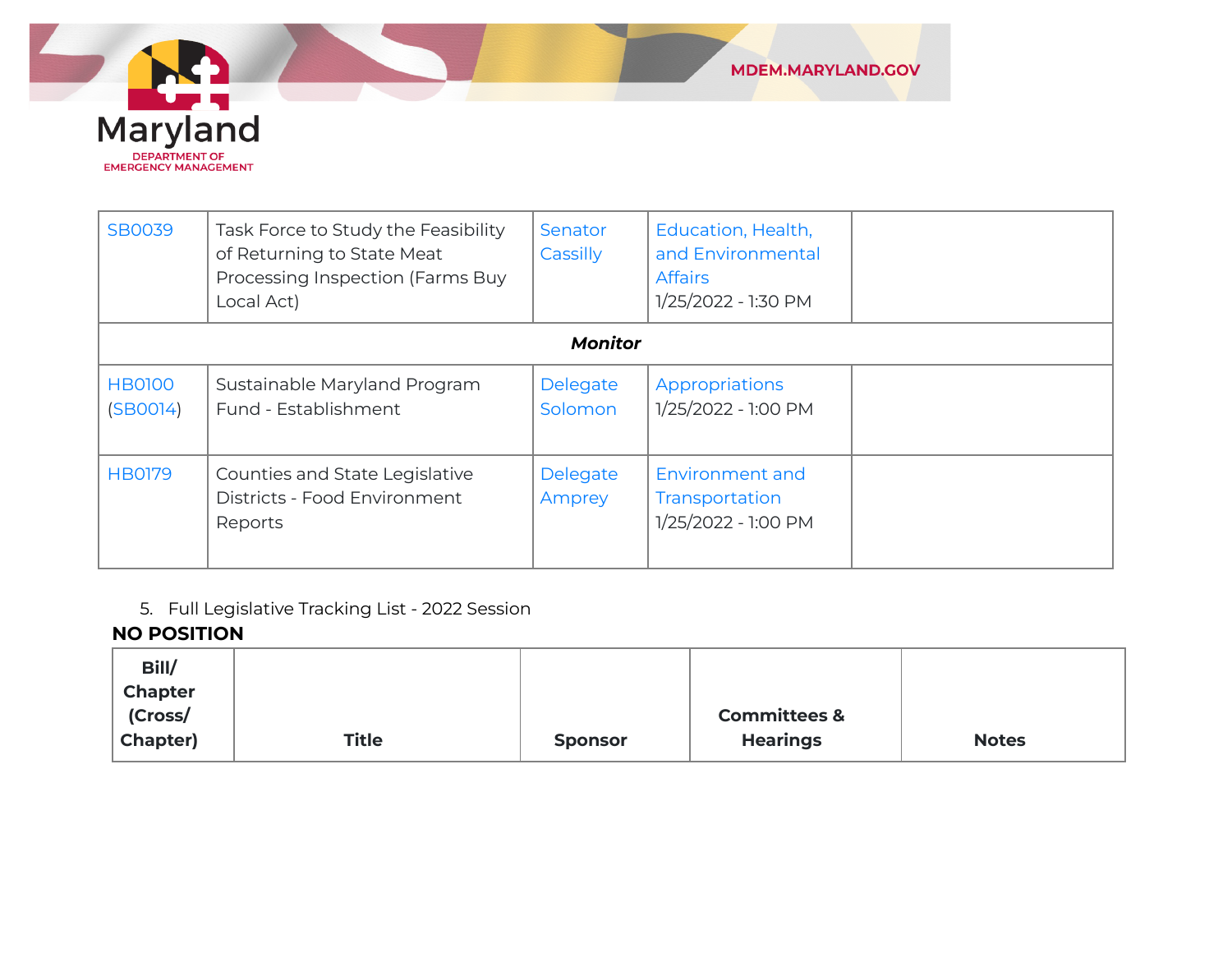

| <b>SB0039</b>             | Task Force to Study the Feasibility<br>of Returning to State Meat<br>Processing Inspection (Farms Buy<br>Local Act) | Senator<br>Cassilly | Education, Health,<br>and Environmental<br><b>Affairs</b><br>1/25/2022 - 1:30 PM |  |
|---------------------------|---------------------------------------------------------------------------------------------------------------------|---------------------|----------------------------------------------------------------------------------|--|
|                           |                                                                                                                     | <b>Monitor</b>      |                                                                                  |  |
| <b>HB0100</b><br>(SBOO14) | Sustainable Maryland Program<br>Fund - Establishment                                                                | Delegate<br>Solomon | Appropriations<br>1/25/2022 - 1:00 PM                                            |  |
| <b>HB0179</b>             | Counties and State Legislative<br>Districts - Food Environment<br>Reports                                           | Delegate<br>Amprey  | Environment and<br>Transportation<br>1/25/2022 - 1:00 PM                         |  |

5. Full Legislative Tracking List - 2022 Session

#### **NO POSITION**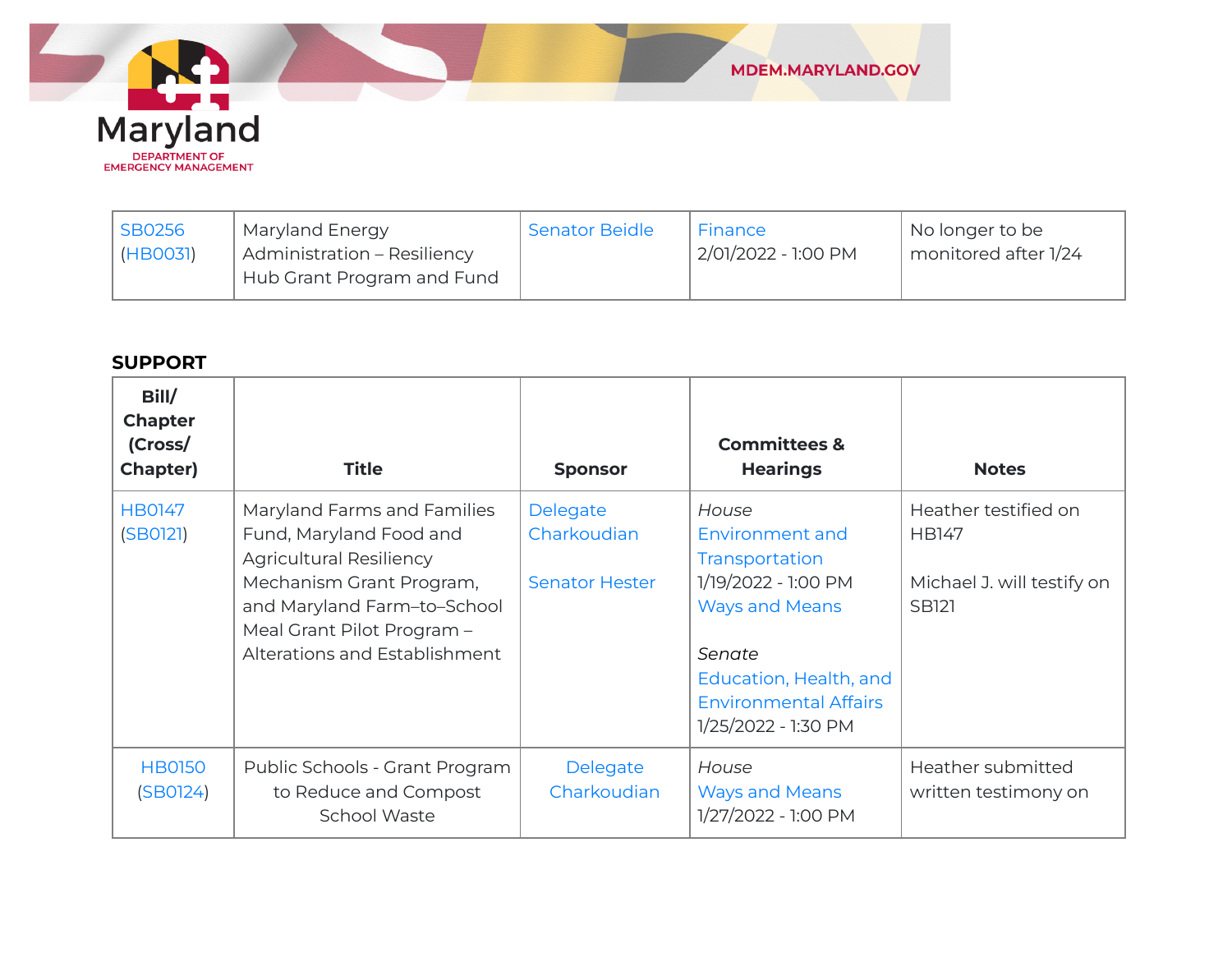

| <b>SB0256</b> | Maryland Energy                    | <b>Senator Beidle</b> | Finance             | No longer to be      |
|---------------|------------------------------------|-----------------------|---------------------|----------------------|
| (HBOO31)      | <b>Administration - Resiliency</b> |                       | 2/01/2022 - 1:00 PM | monitored after 1/24 |
|               | Hub Grant Program and Fund         |                       |                     |                      |

#### **SUPPORT**

| Bill/<br><b>Chapter</b><br>(Cross/<br><b>Chapter)</b> | <b>Title</b>                                                                                                                                                                                                       | <b>Sponsor</b>                                   | <b>Committees &amp;</b><br><b>Hearings</b>                                                                                                                                            | <b>Notes</b>                                                                       |
|-------------------------------------------------------|--------------------------------------------------------------------------------------------------------------------------------------------------------------------------------------------------------------------|--------------------------------------------------|---------------------------------------------------------------------------------------------------------------------------------------------------------------------------------------|------------------------------------------------------------------------------------|
| <b>HB0147</b><br>(SB0121)                             | Maryland Farms and Families<br>Fund, Maryland Food and<br><b>Agricultural Resiliency</b><br>Mechanism Grant Program,<br>and Maryland Farm-to-School<br>Meal Grant Pilot Program -<br>Alterations and Establishment | Delegate<br>Charkoudian<br><b>Senator Hester</b> | House<br>Environment and<br>Transportation<br>1/19/2022 - 1:00 PM<br><b>Ways and Means</b><br>Senate<br>Education, Health, and<br><b>Environmental Affairs</b><br>1/25/2022 - 1:30 PM | Heather testified on<br><b>HB147</b><br>Michael J. will testify on<br><b>SB121</b> |
| <b>HB0150</b><br>(SBO124)                             | Public Schools - Grant Program<br>to Reduce and Compost<br><b>School Waste</b>                                                                                                                                     | Delegate<br>Charkoudian                          | House<br><b>Ways and Means</b><br>1/27/2022 - 1:00 PM                                                                                                                                 | Heather submitted<br>written testimony on                                          |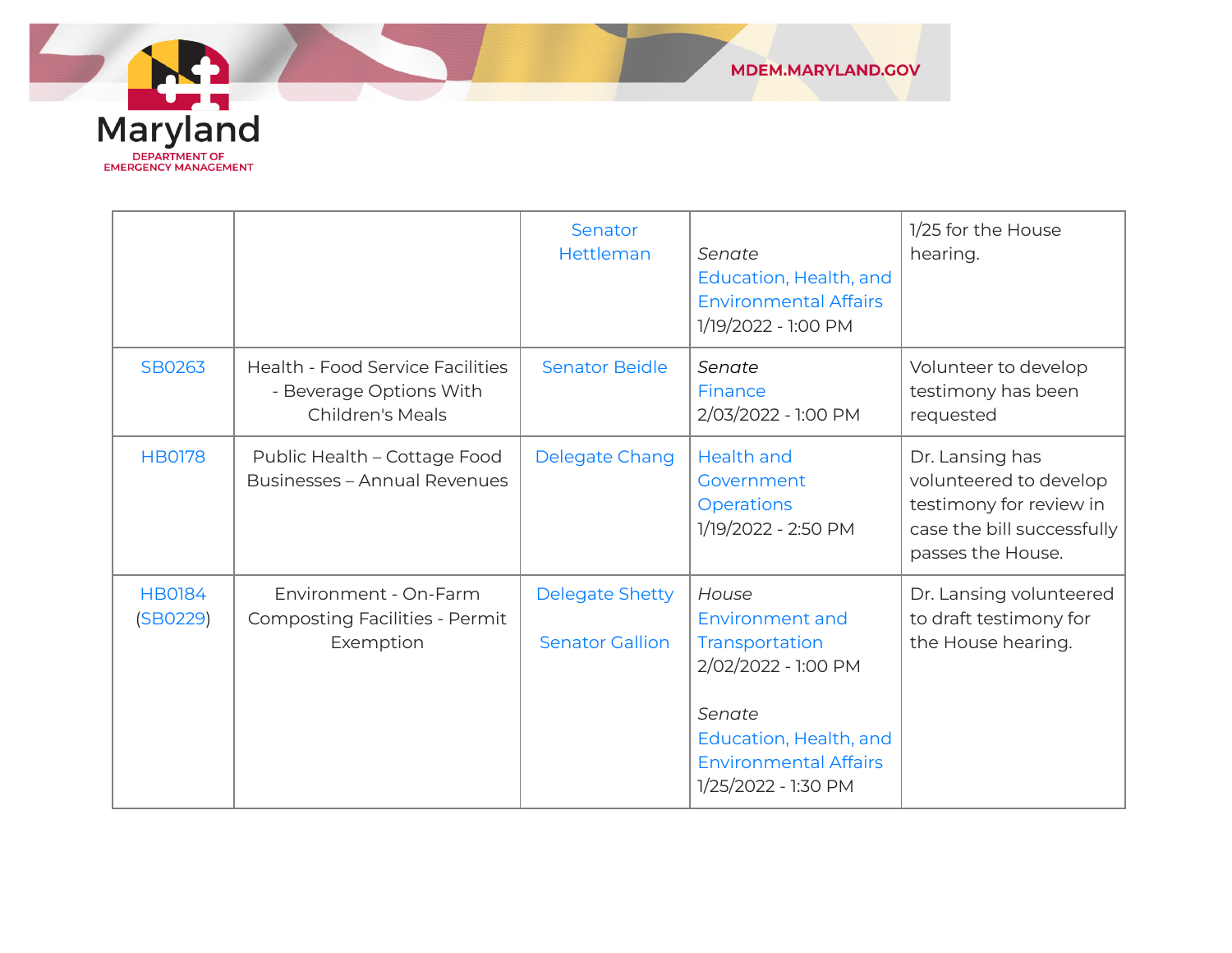

|                           |                                                                                               | Senator<br>Hettleman                             | Senate<br>Education, Health, and<br><b>Environmental Affairs</b><br>1/19/2022 - 1:00 PM                                                                      | 1/25 for the House<br>hearing.                                                                                          |
|---------------------------|-----------------------------------------------------------------------------------------------|--------------------------------------------------|--------------------------------------------------------------------------------------------------------------------------------------------------------------|-------------------------------------------------------------------------------------------------------------------------|
| SB0263                    | <b>Health - Food Service Facilities</b><br>- Beverage Options With<br><b>Children's Meals</b> | <b>Senator Beidle</b>                            | Senate<br>Finance<br>2/03/2022 - 1:00 PM                                                                                                                     | Volunteer to develop<br>testimony has been<br>requested                                                                 |
| <b>HB0178</b>             | Public Health - Cottage Food<br><b>Businesses - Annual Revenues</b>                           | Delegate Chang                                   | <b>Health and</b><br>Government<br><b>Operations</b><br>1/19/2022 - 2:50 PM                                                                                  | Dr. Lansing has<br>volunteered to develop<br>testimony for review in<br>case the bill successfully<br>passes the House. |
| <b>HB0184</b><br>(SBO229) | Environment - On-Farm<br><b>Composting Facilities - Permit</b><br>Exemption                   | <b>Delegate Shetty</b><br><b>Senator Gallion</b> | House<br>Environment and<br>Transportation<br>2/02/2022 - 1:00 PM<br>Senate<br>Education, Health, and<br><b>Environmental Affairs</b><br>1/25/2022 - 1:30 PM | Dr. Lansing volunteered<br>to draft testimony for<br>the House hearing.                                                 |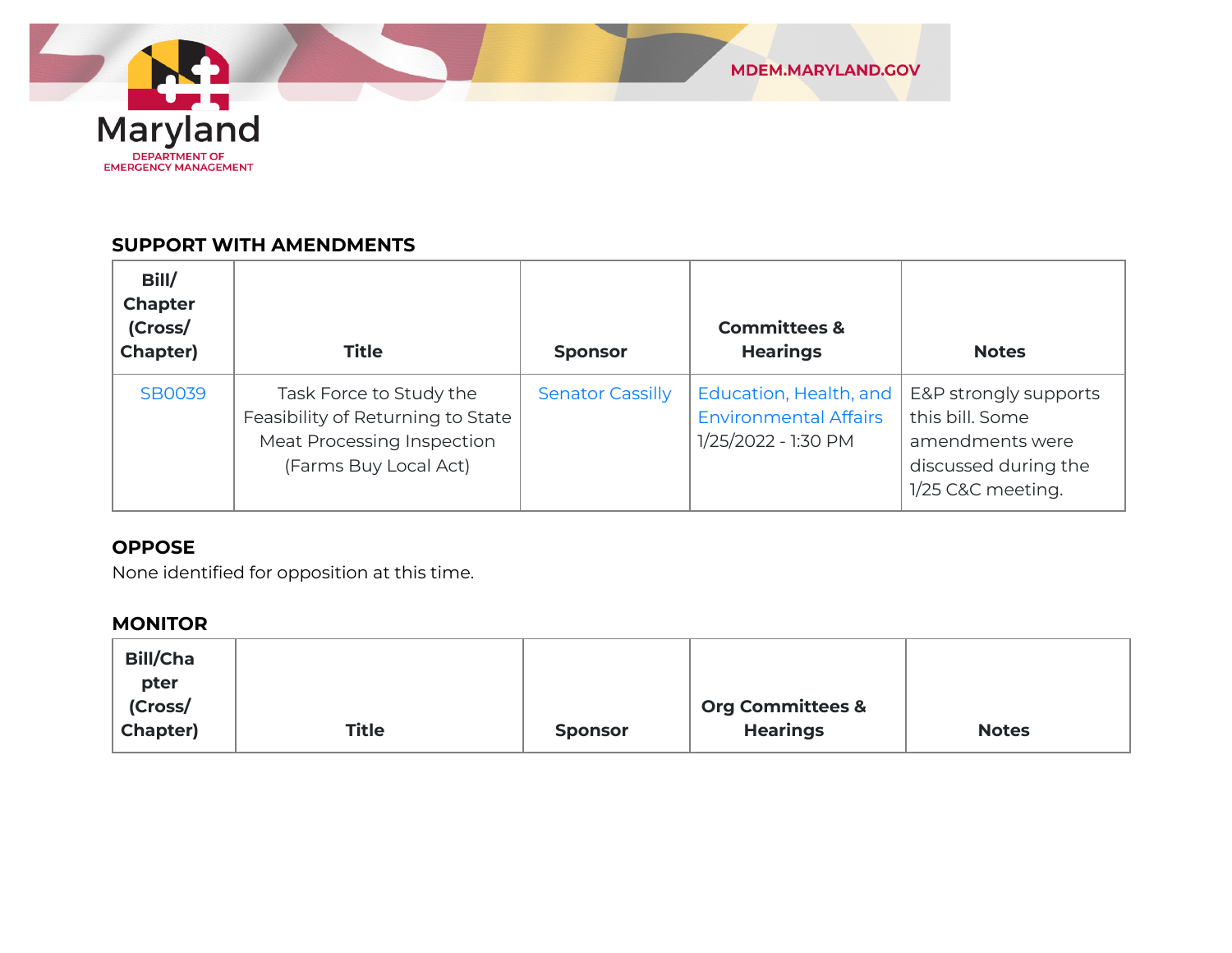

#### **SUPPORT WITH AMENDMENTS**

| Bill/<br><b>Chapter</b><br>(Cross/<br>Chapter) | <b>Title</b>                                                                                                        | <b>Sponsor</b>          | <b>Committees &amp;</b><br><b>Hearings</b>                                    | <b>Notes</b>                                                                                             |
|------------------------------------------------|---------------------------------------------------------------------------------------------------------------------|-------------------------|-------------------------------------------------------------------------------|----------------------------------------------------------------------------------------------------------|
| <b>SB0039</b>                                  | Task Force to Study the<br>Feasibility of Returning to State<br>Meat Processing Inspection<br>(Farms Buy Local Act) | <b>Senator Cassilly</b> | Education, Health, and<br><b>Environmental Affairs</b><br>1/25/2022 - 1:30 PM | E&P strongly supports<br>this bill. Some<br>amendments were<br>discussed during the<br>1/25 C&C meeting. |

#### **OPPOSE**

None identified for opposition at this time.

#### **MONITOR**

| <b>Bill/Cha</b> |              |                |                             |              |
|-----------------|--------------|----------------|-----------------------------|--------------|
| pter            |              |                |                             |              |
| (Cross/         |              |                | <b>Org Committees &amp;</b> |              |
| Chapter)        | <b>Title</b> | <b>Sponsor</b> | <b>Hearings</b>             | <b>Notes</b> |